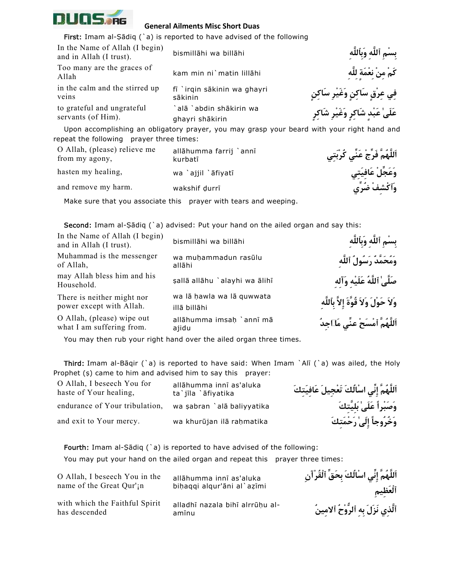

## **General Ailments Misc Short Duas**

First: Imam al-Ṣādiq (`a) is reported to have advised of the following bismill¡hi wa bill¡hi **ِٱللَّهِبَو ِٱللَّه ِمْسِب** In the Name of Allah (I begin) and in Allah (I trust). kam min ni`matin lill¡hi **ِلَّهِل ٍةَمْعِن ْنِم ْمَك** Too many are the graces of Allah fī `irqin sākinin wa ghayri sākinin in the calm and the stirred up veins

`alā `abdin shākirin wa ghayri shākirin to grateful and ungrateful servants (of Him).

 **فِي عِرْقٍ سَاكِنٍ وَغَيْرِ سَاكِنٍ** `**عَلَىٰ عَبْدٍ شَاكِرٍ وَغَيْرِ شَاكِرٍ**

Upon accomplishing an obligatory prayer, you may grasp your beard with your right hand and repeat the following prayer three times:

allāhumma farrij `annī kurbatī O Allah, (please) relieve me from my agony, **وَعَجِّلْ عَافِيَتِي** ¢fiyat `¡ajjil `wa ,healing my hasten and remove my harm. **wakshif durri** 

**اَللَّهُمَّ فَرِّجْ عَنِّي كُرْبَتِي**

Make sure that you associate this prayer with tears and weeping.

**Second:** Imam al-Sādiq (`a) advised: Put your hand on the ailed organ and say this:

| In the Name of Allah (I begin)<br>and in Allah (I trust). | bismillāhi wa billāhi                     | بسْم ٱللَّه وَبِٱللَّه                     |
|-----------------------------------------------------------|-------------------------------------------|--------------------------------------------|
| Muhammad is the messenger<br>of Allah,                    | wa muhammadun rasūlu<br>allāhi            | وَمُحَمَّدٌ رَسُولُ ٱللَّهِ                |
| may Allah bless him and his<br>Household.                 | şallā allāhu `alayhi wa ālihī             | صَلَّىٰ ٱللَّهُ عَلَيْه وَآله              |
| There is neither might nor<br>power except with Allah.    | wa lā hawla wa lā quwwata<br>illā billāhi | وَلاَ حَوْلَ وَلاَ قُوَّةَ إِلاَّ بِٱللَّه |
| O Allah, (please) wipe out<br>what I am suffering from.   | allāhumma imsah `annī mā<br>ajidu         | اَللَّهُمَّ ٱمْسَحْ عنِّي مَلَاجِدُ        |

You may then rub your right hand over the ailed organ three times.

Third: Imam al-Bāqir (`a) is reported to have said: When Imam `Alī (`a) was ailed, the Holy Prophet (\$) came to him and advised him to say this prayer:

| O Allah, I beseech You for<br>haste of Your healing, | allāhumma innī as'aluka<br>ta`jīla `āfiyatika | اَللَّهُمَّ إِنِّی اسْالُكَ تَعْجِيلَ عَافيَتكَ |
|------------------------------------------------------|-----------------------------------------------|-------------------------------------------------|
| endurance of Your tribulation,                       | wa şabran `alā baliyyatika                    | وَصَبْراً عَلَىٰ بَلِيَّتكَ                     |
| and exit to Your mercy.                              | wa khurūjan ilā raḥmatika                     | وَخُرُوجاً إِلَىٰ رَحْمَتكَ                     |

**اَللَّهُمَّ إِنِّي ا سْالُكَ تَعْجِيلَ عَافِيَتِكَ**

Fourth: Imam al-Ṣādiq (`a) is reported to have advised of the following: You may put your hand on the ailed organ and repeat this prayer three times:

| O Allah, I beseech You in the                   | allāhumma innī as'aluka                  | ٱللَّهَمَّ إِنِّي اسْأَلَكَ بِحَقِّ ٱلْقُرْآنِ |
|-------------------------------------------------|------------------------------------------|------------------------------------------------|
| name of the Great Qur' <sub>i</sub> n           | bihaqqi alqur'ani al`azimi               | ألْعَظيم                                       |
| with which the Faithful Spirit<br>has descended | alladhī nazala bihī alrrūhu al-<br>amīnu | ٱلَّذى نَزَلَ به ٱلرُّوْحُ ٱلامينُ             |